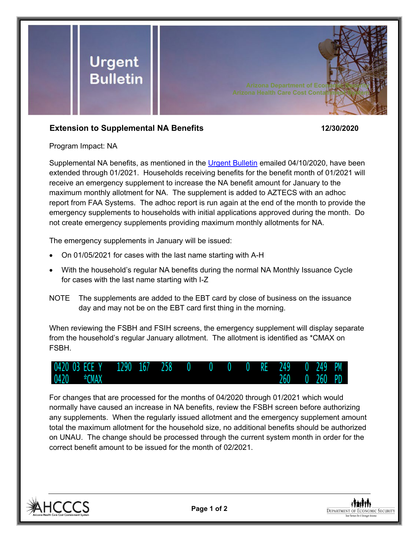

## **Extension to Supplemental NA Benefits 12/30/2020**

Program Impact: NA

Supplemental NA benefits, as mentioned in the [Urgent Bulletin](https://dbmefaapolicy.azdes.gov/FAA5/baggage/Urgent%20Bulletin%20(04-10-2020)%20-%20Supplemental%20Nutrition%20Assistance%20Benefits%20for%20Participants.pdf) emailed 04/10/2020, have been extended through 01/2021. Households receiving benefits for the benefit month of 01/2021 will receive an emergency supplement to increase the NA benefit amount for January to the maximum monthly allotment for NA. The supplement is added to AZTECS with an adhoc report from FAA Systems. The adhoc report is run again at the end of the month to provide the emergency supplements to households with initial applications approved during the month. Do not create emergency supplements providing maximum monthly allotments for NA.

The emergency supplements in January will be issued:

- On 01/05/2021 for cases with the last name starting with A-H
- With the household's regular NA benefits during the normal NA Monthly Issuance Cycle for cases with the last name starting with I-Z
- NOTE The supplements are added to the EBT card by close of business on the issuance day and may not be on the EBT card first thing in the morning.

When reviewing the FSBH and FSIH screens, the emergency supplement will display separate from the household's regular January allotment. The allotment is identified as \*CMAX on FSBH.



For changes that are processed for the months of 04/2020 through 01/2021 which would normally have caused an increase in NA benefits, review the FSBH screen before authorizing any supplements. When the regularly issued allotment and the emergency supplement amount total the maximum allotment for the household size, no additional benefits should be authorized on UNAU. The change should be processed through the current system month in order for the correct benefit amount to be issued for the month of 02/2021.